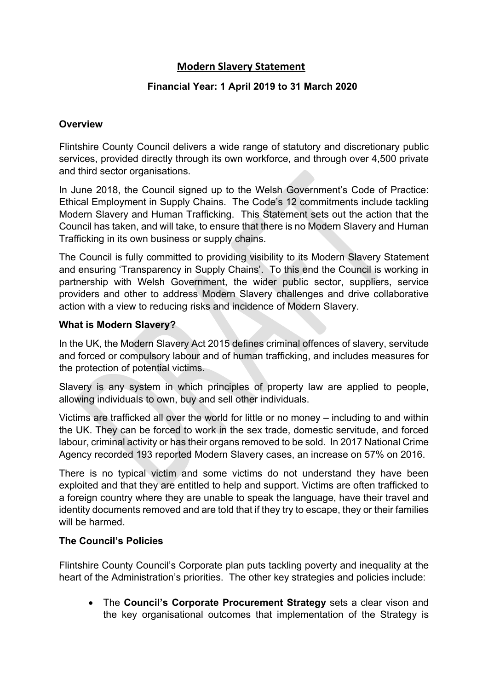## **Modern Slavery Statement**

## **Financial Year: 1 April 2019 to 31 March 2020**

#### **Overview**

Flintshire County Council delivers a wide range of statutory and discretionary public services, provided directly through its own workforce, and through over 4,500 private and third sector organisations.

In June 2018, the Council signed up to the Welsh Government's Code of Practice: Ethical Employment in Supply Chains. The Code's 12 commitments include tackling Modern Slavery and Human Trafficking. This Statement sets out the action that the Council has taken, and will take, to ensure that there is no Modern Slavery and Human Trafficking in its own business or supply chains.

The Council is fully committed to providing visibility to its Modern Slavery Statement and ensuring 'Transparency in Supply Chains'. To this end the Council is working in partnership with Welsh Government, the wider public sector, suppliers, service providers and other to address Modern Slavery challenges and drive collaborative action with a view to reducing risks and incidence of Modern Slavery.

#### **What is Modern Slavery?**

In the UK, the Modern Slavery Act 2015 defines criminal offences of slavery, servitude and forced or compulsory labour and of human trafficking, and includes measures for the protection of potential victims.

Slavery is any system in which principles of property law are applied to people, allowing individuals to own, buy and sell other individuals.

Victims are trafficked all over the world for little or no money – including to and within the UK. They can be forced to work in the sex trade, domestic servitude, and forced labour, criminal activity or has their organs removed to be sold. In 2017 National Crime Agency recorded 193 reported Modern Slavery cases, an increase on 57% on 2016.

There is no typical victim and some victims do not understand they have been exploited and that they are entitled to help and support. Victims are often trafficked to a foreign country where they are unable to speak the language, have their travel and identity documents removed and are told that if they try to escape, they or their families will be harmed.

## **The Council's Policies**

Flintshire County Council's Corporate plan puts tackling poverty and inequality at the heart of the Administration's priorities. The other key strategies and policies include:

 The **Council's Corporate Procurement Strategy** sets a clear vison and the key organisational outcomes that implementation of the Strategy is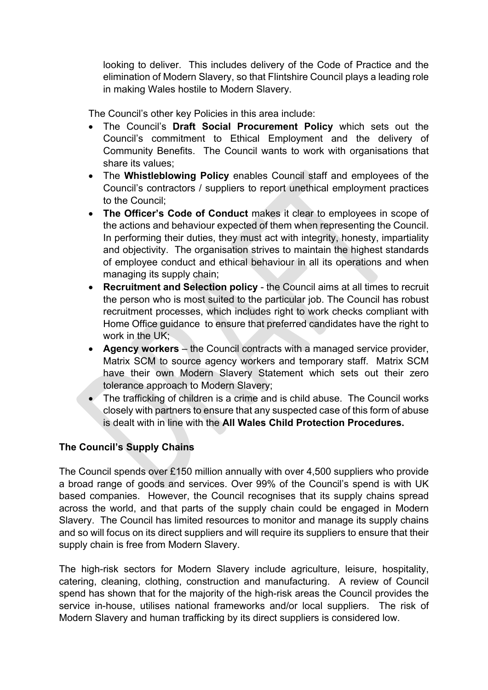looking to deliver. This includes delivery of the Code of Practice and the elimination of Modern Slavery, so that Flintshire Council plays a leading role in making Wales hostile to Modern Slavery.

The Council's other key Policies in this area include:

- The Council's **Draft Social Procurement Policy** which sets out the Council's commitment to Ethical Employment and the delivery of Community Benefits. The Council wants to work with organisations that share its values;
- The **Whistleblowing Policy** enables Council staff and employees of the Council's contractors / suppliers to report unethical employment practices to the Council;
- **The Officer's Code of Conduct** makes it clear to employees in scope of the actions and behaviour expected of them when representing the Council. In performing their duties, they must act with integrity, honesty, impartiality and objectivity. The organisation strives to maintain the highest standards of employee conduct and ethical behaviour in all its operations and when managing its supply chain;
- **Recruitment and Selection policy** the Council aims at all times to recruit the person who is most suited to the particular job. The Council has robust recruitment processes, which includes right to work checks compliant with Home Office guidance to ensure that preferred candidates have the right to work in the UK;
- **Agency workers** the Council contracts with a managed service provider, Matrix SCM to source agency workers and temporary staff. Matrix SCM have their own Modern Slavery Statement which sets out their zero tolerance approach to Modern Slavery;
- The trafficking of children is a crime and is child abuse. The Council works closely with partners to ensure that any suspected case of this form of abuse is dealt with in line with the **All Wales Child Protection Procedures.**

## **The Council's Supply Chains**

The Council spends over £150 million annually with over 4,500 suppliers who provide a broad range of goods and services. Over 99% of the Council's spend is with UK based companies. However, the Council recognises that its supply chains spread across the world, and that parts of the supply chain could be engaged in Modern Slavery. The Council has limited resources to monitor and manage its supply chains and so will focus on its direct suppliers and will require its suppliers to ensure that their supply chain is free from Modern Slavery.

The high-risk sectors for Modern Slavery include agriculture, leisure, hospitality, catering, cleaning, clothing, construction and manufacturing. A review of Council spend has shown that for the majority of the high-risk areas the Council provides the service in-house, utilises national frameworks and/or local suppliers. The risk of Modern Slavery and human trafficking by its direct suppliers is considered low.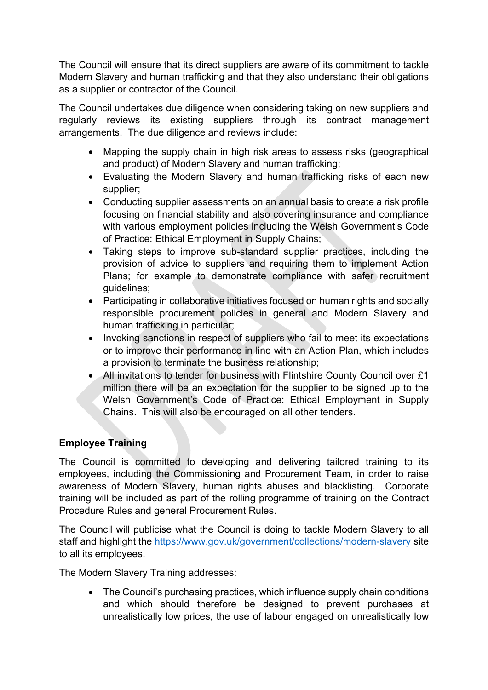The Council will ensure that its direct suppliers are aware of its commitment to tackle Modern Slavery and human trafficking and that they also understand their obligations as a supplier or contractor of the Council.

The Council undertakes due diligence when considering taking on new suppliers and regularly reviews its existing suppliers through its contract management arrangements. The due diligence and reviews include:

- Mapping the supply chain in high risk areas to assess risks (geographical and product) of Modern Slavery and human trafficking;
- Evaluating the Modern Slavery and human trafficking risks of each new supplier;
- Conducting supplier assessments on an annual basis to create a risk profile focusing on financial stability and also covering insurance and compliance with various employment policies including the Welsh Government's Code of Practice: Ethical Employment in Supply Chains;
- Taking steps to improve sub-standard supplier practices, including the provision of advice to suppliers and requiring them to implement Action Plans; for example to demonstrate compliance with safer recruitment guidelines;
- Participating in collaborative initiatives focused on human rights and socially responsible procurement policies in general and Modern Slavery and human trafficking in particular;
- Invoking sanctions in respect of suppliers who fail to meet its expectations or to improve their performance in line with an Action Plan, which includes a provision to terminate the business relationship;
- All invitations to tender for business with Flintshire County Council over £1 million there will be an expectation for the supplier to be signed up to the Welsh Government's Code of Practice: Ethical Employment in Supply Chains. This will also be encouraged on all other tenders.

## **Employee Training**

The Council is committed to developing and delivering tailored training to its employees, including the Commissioning and Procurement Team, in order to raise awareness of Modern Slavery, human rights abuses and blacklisting. Corporate training will be included as part of the rolling programme of training on the Contract Procedure Rules and general Procurement Rules.

The Council will publicise what the Council is doing to tackle Modern Slavery to all staff and highlight the <https://www.gov.uk/government/collections/modern-slavery> site to all its employees.

The Modern Slavery Training addresses:

• The Council's purchasing practices, which influence supply chain conditions and which should therefore be designed to prevent purchases at unrealistically low prices, the use of labour engaged on unrealistically low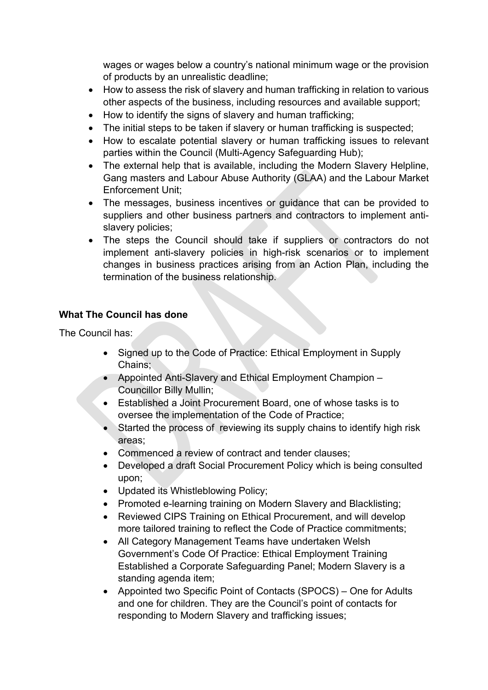wages or wages below a country's national minimum wage or the provision of products by an unrealistic deadline;

- How to assess the risk of slavery and human trafficking in relation to various other aspects of the business, including resources and available support;
- How to identify the signs of slavery and human trafficking;
- The initial steps to be taken if slavery or human trafficking is suspected;
- How to escalate potential slavery or human trafficking issues to relevant parties within the Council (Multi-Agency Safeguarding Hub);
- The external help that is available, including the Modern Slavery Helpline, Gang masters and Labour Abuse Authority (GLAA) and the Labour Market Enforcement Unit;
- The messages, business incentives or guidance that can be provided to suppliers and other business partners and contractors to implement antislavery policies;
- The steps the Council should take if suppliers or contractors do not implement anti-slavery policies in high-risk scenarios or to implement changes in business practices arising from an Action Plan, including the termination of the business relationship.

## **What The Council has done**

The Council has:

- Signed up to the Code of Practice: Ethical Employment in Supply Chains;
- Appointed Anti-Slavery and Ethical Employment Champion Councillor Billy Mullin;
- Established a Joint Procurement Board, one of whose tasks is to oversee the implementation of the Code of Practice;
- Started the process of reviewing its supply chains to identify high risk areas;
- Commenced a review of contract and tender clauses;
- Developed a draft Social Procurement Policy which is being consulted upon;
- Updated its Whistleblowing Policy;
- Promoted e-learning training on Modern Slavery and Blacklisting;
- Reviewed CIPS Training on Ethical Procurement, and will develop more tailored training to reflect the Code of Practice commitments;
- All Category Management Teams have undertaken Welsh Government's Code Of Practice: Ethical Employment Training Established a Corporate Safeguarding Panel; Modern Slavery is a standing agenda item;
- Appointed two Specific Point of Contacts (SPOCS) One for Adults and one for children. They are the Council's point of contacts for responding to Modern Slavery and trafficking issues;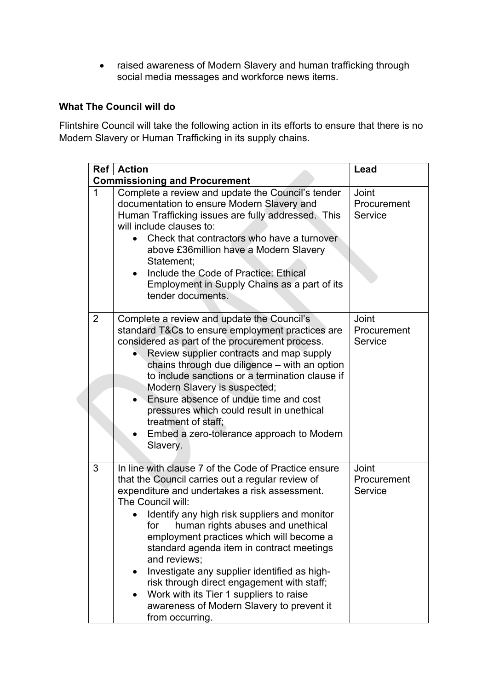raised awareness of Modern Slavery and human trafficking through social media messages and workforce news items.

# **What The Council will do**

Flintshire Council will take the following action in its efforts to ensure that there is no Modern Slavery or Human Trafficking in its supply chains.

| Ref                                  | <b>Action</b>                                                                                                                                                                                                                                                                                                                                                                                                                                                                                                                                                                                             | Lead                            |  |  |
|--------------------------------------|-----------------------------------------------------------------------------------------------------------------------------------------------------------------------------------------------------------------------------------------------------------------------------------------------------------------------------------------------------------------------------------------------------------------------------------------------------------------------------------------------------------------------------------------------------------------------------------------------------------|---------------------------------|--|--|
| <b>Commissioning and Procurement</b> |                                                                                                                                                                                                                                                                                                                                                                                                                                                                                                                                                                                                           |                                 |  |  |
| 1                                    | Complete a review and update the Council's tender<br>documentation to ensure Modern Slavery and<br>Human Trafficking issues are fully addressed. This<br>will include clauses to:<br>Check that contractors who have a turnover<br>above £36 million have a Modern Slavery<br>Statement;<br>Include the Code of Practice: Ethical<br>Employment in Supply Chains as a part of its<br>tender documents.                                                                                                                                                                                                    | Joint<br>Procurement<br>Service |  |  |
| $\overline{2}$                       | Complete a review and update the Council's<br>standard T&Cs to ensure employment practices are<br>considered as part of the procurement process.<br>Review supplier contracts and map supply<br>chains through due diligence - with an option<br>to include sanctions or a termination clause if<br>Modern Slavery is suspected;<br>Ensure absence of undue time and cost<br>pressures which could result in unethical<br>treatment of staff;<br>Embed a zero-tolerance approach to Modern<br>Slavery.                                                                                                    | Joint<br>Procurement<br>Service |  |  |
| 3                                    | In line with clause 7 of the Code of Practice ensure<br>that the Council carries out a regular review of<br>expenditure and undertakes a risk assessment.<br>The Council will:<br>Identify any high risk suppliers and monitor<br>human rights abuses and unethical<br>for<br>employment practices which will become a<br>standard agenda item in contract meetings<br>and reviews:<br>Investigate any supplier identified as high-<br>$\bullet$<br>risk through direct engagement with staff;<br>Work with its Tier 1 suppliers to raise<br>awareness of Modern Slavery to prevent it<br>from occurring. | Joint<br>Procurement<br>Service |  |  |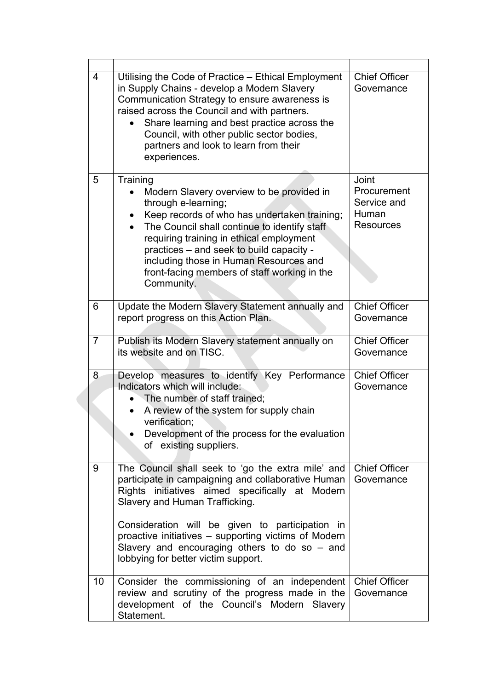|  | $\overline{4}$ | Utilising the Code of Practice – Ethical Employment<br>in Supply Chains - develop a Modern Slavery<br>Communication Strategy to ensure awareness is<br>raised across the Council and with partners.<br>Share learning and best practice across the<br>Council, with other public sector bodies,<br>partners and look to learn from their<br>experiences.                                          | <b>Chief Officer</b><br>Governance                               |
|--|----------------|---------------------------------------------------------------------------------------------------------------------------------------------------------------------------------------------------------------------------------------------------------------------------------------------------------------------------------------------------------------------------------------------------|------------------------------------------------------------------|
|  | 5              | Training<br>Modern Slavery overview to be provided in<br>through e-learning;<br>Keep records of who has undertaken training;<br>The Council shall continue to identify staff<br>requiring training in ethical employment<br>practices - and seek to build capacity -<br>including those in Human Resources and<br>front-facing members of staff working in the<br>Community.                      | Joint<br>Procurement<br>Service and<br>Human<br><b>Resources</b> |
|  | 6              | Update the Modern Slavery Statement annually and<br>report progress on this Action Plan.                                                                                                                                                                                                                                                                                                          | <b>Chief Officer</b><br>Governance                               |
|  | $\overline{7}$ | Publish its Modern Slavery statement annually on<br>its website and on TISC.                                                                                                                                                                                                                                                                                                                      | <b>Chief Officer</b><br>Governance                               |
|  | 8              | Develop measures to identify Key Performance<br>Indicators which will include:<br>The number of staff trained;<br>A review of the system for supply chain<br>verification;<br>Development of the process for the evaluation<br>of existing suppliers.                                                                                                                                             | <b>Chief Officer</b><br>Governance                               |
|  | 9              | The Council shall seek to 'go the extra mile' and<br>participate in campaigning and collaborative Human<br>Rights initiatives aimed specifically at Modern<br>Slavery and Human Trafficking.<br>Consideration will be given to participation in<br>proactive initiatives – supporting victims of Modern<br>Slavery and encouraging others to do so $-$ and<br>lobbying for better victim support. | <b>Chief Officer</b><br>Governance                               |
|  | 10             | Consider the commissioning of an independent<br>review and scrutiny of the progress made in the<br>development of the Council's Modern Slavery<br>Statement.                                                                                                                                                                                                                                      | <b>Chief Officer</b><br>Governance                               |